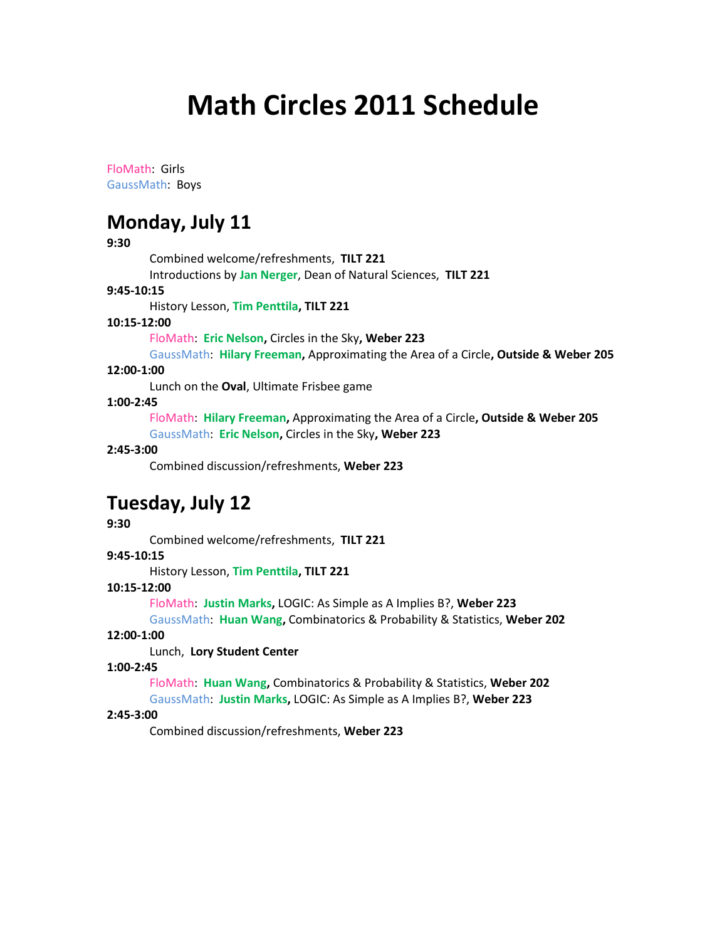# **Math Circles 2011 Schedule**

FloMath: Girls GaussMath: Boys

# **Monday, July 11**

#### **9:30**

Combined welcome/refreshments, **TILT 221** 

Introductions by **Jan Nerger**, Dean of Natural Sciences, **TILT 221** 

#### **9:45-10:15**

History Lesson, **Tim Penttila, TILT 221**

#### **10:15-12:00**

FloMath: **Eric Nelson,** Circles in the Sky**, Weber 223**

GaussMath: **Hilary Freeman,** Approximating the Area of a Circle**, Outside & Weber 205**

#### **12:00-1:00**

Lunch on the **Oval**, Ultimate Frisbee game

#### **1:00-2:45**

FloMath: **Hilary Freeman,** Approximating the Area of a Circle**, Outside & Weber 205** GaussMath: **Eric Nelson,** Circles in the Sky**, Weber 223**

#### **2:45-3:00**

Combined discussion/refreshments, **Weber 223**

# **Tuesday, July 12**

#### **9:30**

Combined welcome/refreshments, **TILT 221** 

#### **9:45-10:15**

History Lesson, **Tim Penttila, TILT 221**

#### **10:15-12:00**

FloMath: **Justin Marks,** LOGIC: As Simple as A Implies B?, **Weber 223**  GaussMath: **Huan Wang,** Combinatorics & Probability & Statistics, **Weber 202**

#### **12:00-1:00**

Lunch, **Lory Student Center**

#### **1:00-2:45**

FloMath: **Huan Wang,** Combinatorics & Probability & Statistics, **Weber 202** GaussMath: **Justin Marks,** LOGIC: As Simple as A Implies B?, **Weber 223**

#### **2:45-3:00**

Combined discussion/refreshments, **Weber 223**